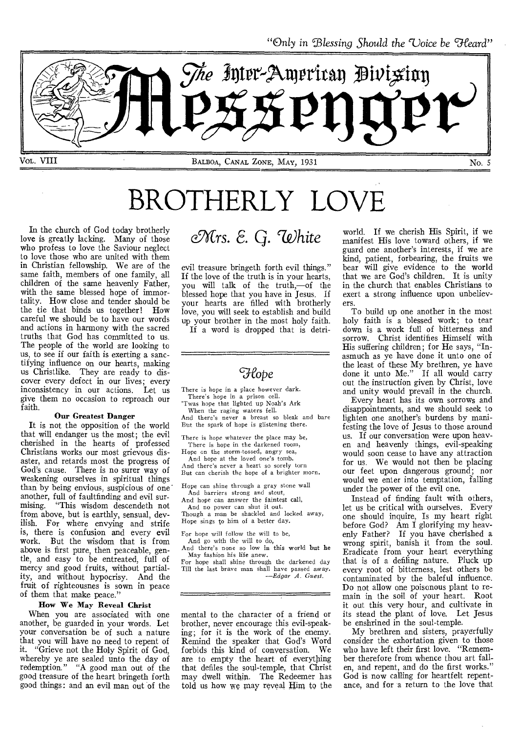"Only in Blessing Should the Uoice be Heard"



# BROTHERLY LOVE

In the church of God today brotherly love is greatly lacking. Many of those who profess to love the Saviour neglect to love those who are united with them in Christian fellowship. We are of the same faith, members of one family, all children of the same heavenly Father, with the same blessed hope of immortality. How close and tender should be the tie that binds us together! How careful we should be to have our words and actions in harmony with the sacred truths that God has committed to us. The people of the world are looking to us, to see if our faith is exerting a sanctifying influence on our hearts, making us Christlike. They are ready to discover every defect in our lives; every<br>inconsistency in our actions. Let us inconsistency in our actions. give them no occasion to reproach our faith.

#### Our Greatest Danger

It is not the opposition of the world that will endanger us the most; the evil cherished in the hearts of professed Christians works our most grievous disaster, and retards most the progress of God's cause. There is no surer way of weakening ourselves in spiritual things than by being envious, suspicious of one' another, full of faultfinding and evil surmising. "This wisdom descendeth not from above, but is earthly, sensual, devilish. For where envying and strife is, there is confusion and every evil work. But the wisdom that is from above is first pure, then peaceable, gentle, and easy to be entreated, full of mercy and good fruits, without partiality, and without hypocrisy. And the fruit of righteousnes is sown in peace of them that make peace."

#### How We May Reveal Christ

When you are associated with one another, be guarded in your words. Let your conversation be of such a nature that you will have no need to repent of it. "Grieve not the Holy Spirit of God, whereby ye are sealed unto the day of redemption." "A good man out of the good treasure of the heart bringeth forth good things: and an evil man out of the

# *OrCrs. E.* Q. *'White*

evil treasure bringeth forth evil things." If the love of the truth is in your hearts, you will talk of the truth,—of the blessed hope that you have in Jesus. If your hearts are filled with brotherly love, you will seek to establish and build up your brother in the most holy faith.

If a word is dropped that is detri-

## *Flope*

There is hope in a place however dark. There's hope in a prison cell. 'Twas hope that lighted up Noah's Ark

When the raging waters fell. And there's never a breast so bleak and bare But the spark of hope is glistening there.

There is hope whatever the place may be, There is hope in the darkened room,

Hope cn the storm-tossed, angry sea, And hope at the loved one's tomb.

And there's never a heart so sorely torn But can cherish the hope of a brighter morn.

Hope can shine through a gray stone wall And barriers strong and stout,

And hope can answer the faintest call,

And no power can shut it out. Though a man be shackled and locked away, Hope sings to him of a better day.

For hope will follow the will to be,

And go with the will to do, And there's none so low in this world but he May fashion his life anew.

For hope shall shine through the darkened day Till the last brave man shall have passed away. *—Edgar A. Guest.* 

mental to the character of a friend or brother, never encourage this evil-speaking; for it is the work of the enemy. Remind the speaker that God's Word<br>forbids this kind of conversation. We forbids this kind of conversation. are to empty the heart of everything that defiles the soul-temple, that Christ may dwell within. The Redeemer has told us how we may reveal Him to the world. If we cherish His Spirit, if we manifest His love toward others, if we guard one another's interests, if we are kind, patient, forbearing, the fruits we bear will give evidence to the world that we are God's children. It is unity in the church that enables Christians to exert a strong influence upon unbelievers.

To build up one another in the most holy faith is a blessed work; to tear down is a work full of bitterness and sorrow. Christ identifies Himself with His suffering children; for He says, "Inasmuch as ye have done it unto one of the least of these My brethren, ye have done it unto Me." If all would carry out the instruction given by Christ, love and unity would prevail in the church.

Every heart has its own sorrows and disappointments, and we should seek to lighten one another's burdens by manifesting the love of Jesus to those around us. If our conversation were upon heaven and heavenly things, evil-speaking would soon cease to have any attraction for us. We would not then be placing our feet upon dangerous ground; nor would we enter into temptation, falling under the power of the evil one.

Instead of finding fault with others, let us be critical with ourselves. Every one should inquire, Is my heart right before God? Am I glorifying my heavenly Father? If you have cherished a wrong spirit, banish it from the soul. Eradicate from your heart everything that is of a defiling nature. Pluck up every root of bitterness, lest others be contaminated by the baleful influence. Do not allow one poisonous plant to remain in the soil of your heart. Root it out this very hour, and cultivate in its stead the plant of love. Let Jesus be enshrined in the soul-temple.

My brethren and sisters, prayerfully consider the exhortation given to those who have left their first love. "Remember therefore from whence thou art fallen, and repent, and do the first works." God is now calling for heartfelt repentance, and for a return to the love that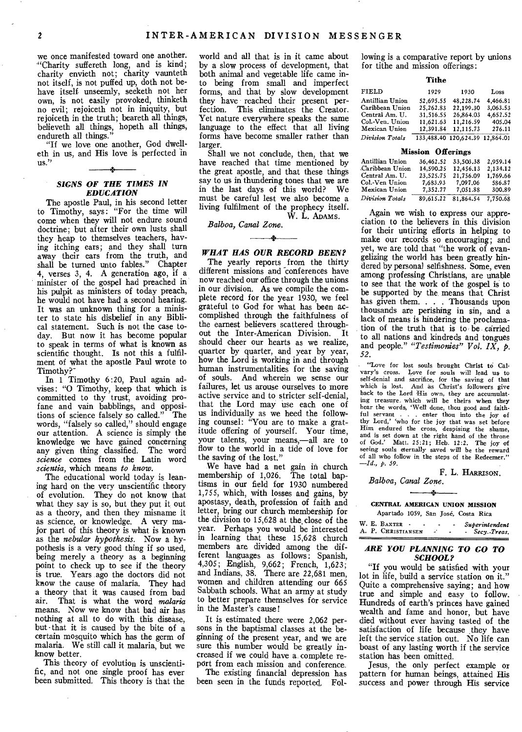we once manifested toward one another. "Charity suffereth long, and is kind; charity envieth not; charity vaunteth not itself, is not puffed up, doth not behave itself unseemly, seeketh not her own, is not easily provoked, thinketh no evil; rejoiceth not in iniquity, but rejoiceth in the truth; beareth all things, believeth all things, hopeth all things, endureth all things."

"If we love one another, God dwelteth in us, and His love is perfected in us." Pi

#### *SIGNS OF THE TIMES IN EDUCATION*

The apostle Paul, in his second letter to Timothy, says: "For the time will come when they will not endure sound doctrine; but after their own lusts shall they heap to themselves teachers, having itching ears; and they shall turn away their ears from the truth, and shall be turned unto fables." Chapter 4, verses 3, 4. A generation ago, if a minister of the gospel had preached in his pulpit as ministers of today preach, he would not have had a second hearing. It was an unknown thing for a minister to state his disbelief in any Biblical statement. Such is not the case today. But now it has become popular to speak in terms of what is known as scientific thought. Is not this a fulfilment of what the apostle Paul wrote to Timothy?`

In 1 Timothy 6:20, Paul again advises: "0 Timothy, keep that which is committed to thy trust, avoiding profane and vain babblings, and oppositions of science falsely so called." The words, "falsely so called," should engage our attention. A science is simply the knowledge we have gained concerning any given thing classified. The word *science* comes from the Latin word *scientia,* which means *to know.* 

The educational world today is leaning hard on the very unscientific theory of evolution. They do not know that what they say is so, but they put it out as a theory, and then they misname it as science, or knowledge. A very major part of this theory is what is known as the *nebular hypothesis.* Now a hypothesis is a very good thing if so used, being merely a theory as a beginning point to check up to see if the theory is true. Years ago the doctors did not know the cause of malaria. They had a theory that it was caused from bad air. That is what the word malaria That is what the word *malaria* means. Now we know that bad air has nothing at all to do with this disease, but that it is caused by the bite of a certain mosquito which has the germ of malaria. We still call it malaria, but we know better.

This theory of evolution is unscientific, and not one single proof has ever been submitted. This theory is that the

world and all that is in it came about by a slow process of development, that both animal and vegetable life came into being from small and imperfect forms, and that by slow development they have reached their present per-<br>fection. This eliminates the Creator. This eliminates the Creator. Yet nature everywhere speaks the same language to the effect that all living forms have become smaller rather than larger.

Shall we not conclude, then, that we have reached that time mentioned by the great apostle, and that these things say to us in thundering tones that we are in the last days of this world? We must be careful lest we also become a living fulfilment of the prophecy itself. W. L. ADAMS.

*Balboa, Canal Zone.* 

#### *WHAT HAS OUR RECORD BEEN?*

 $-$ 

The yearly reports from the thirty different missions and conferences have now reached our office through the unions in our division. As we compile the complete record for the year 1930, we feel grateful to God for what has been accomplished through the faithfulness of the earnest believers scattered through-<br>out the Inter-American Division. It out the Inter-American Division. should cheer our hearts as we realize, quarter by quarter, and year by year, how the Lord is working in and through human instrumentalities for the saving of souls. And wherein we sense our failures, let us arouse ourselves to more active service and to stricter self-denial, that the Lord may use each one of us individually as we heed the following counsel: "You are to make a gratitude offering of yourself. Your time, your talents, your means,—all are to flow to the world in a tide of love for the saving of the lost."

We have had a net gain in church membership of 1,026. The total baptisms in our field for 1930 numbered 1,755, which, with losses and gains, by apostasy, death, profession of faith and letter, bring our church membership for the division to 15,628 at the close of the year. Perhaps you would be interested in learning that these 15,628 church members are divided among the different languages as follows: Spanish, 4,305; English, 9,662; French, 1,623; and Indians, 38. There are 22,681 men, women and children attending our 665 Sabbath schools. What an army at study to better prepare themselves for service in the Master's cause!

It is estimated there were 2,062 persons in the baptismal classes at the beginning of the present year, and we are sure this number would be greatly increased if we could have a. complete repOrt from each mission and conference.

The existing financial depression has been seen in the funds reported.. Following is a comparative report by unions for tithe and mission offerings:

#### **Tithe**

| FIELD           | 1929      | 1930                            | Loss     |
|-----------------|-----------|---------------------------------|----------|
| Antillian Union | 52.695.55 | 48.228.74                       | 4.466.81 |
| Caribbean Union | 25,262.83 | 22.199.30                       | 3,063.53 |
| Central Am. U.  | 31.516.55 | 26.864.03                       | 4.652.52 |
| Col.-Ven. Union | 11,621.63 | 11,216.59                       | 405.04   |
| Mexican Union   | 12.391.84 | 12,115.73                       | 276.11   |
| Division Totals |           | 133,488.40 120,624.39 12,864.01 |          |

#### **Mission Offerings**

| Antillian Union | 36,462.52 | 33,503,38 | 2.959.14 |
|-----------------|-----------|-----------|----------|
| Caribbean Union | 14,590.25 | 12,456.13 | 2.134.12 |
| Central Am. U.  | 23,525.75 | 21.756.09 | 1.769.66 |
| Col.-Ven Union  | 7,683.93  | 7.097.06  | 586.87   |
| Mexican Union   | 7.352.77  | 7.051.88  | 300.89   |
| Division Totals | 89.615.22 | 81,864.54 | 7.750.68 |

Again we wish to express our appreciation to the believers in this division for their untiring efforts in helping **to**  make our records so encouraging; and yet, we are told that "the work of evangelizing the world has been greatly hindered by personal selfishness. Some, even among professing Christians, are unable to see that the work of the gospel is to be supported by the means that Christ has given them. . . . Thousands upon thousands are perishing in sin, and a lack of means is hindering the proclamation of the truth that is to be carried to all nations and kindreds and tongues and people." *"Testimonies" Vol. IX, p. 52.* 

"Love for lost souls brought Christ to Calvary's cross. Love for souls will lead us to self-denial and sacrifice, for the saving of that which is lost. And as Christ's followers give back to the Lord His own, they are accumulating treasure. which will be theirs when they hear the words, 'Well done, thou good and faithful servant . . . enter thou into the joy of thy Lord,' who for the joy that was set before Him endured the cross, despising the shame, and is set down at the right hand of the throne of God.' Matt. 25:21; Heb. 12:2. The joy of seeing souls eternally saved will be the reward of all who follow in the steps of the Redeemer." *—Id., p. 59.* 

**F. L. HARRISON.**  *Balboa, Canal Zone.* 

# **CENTRAL AMERICAN UNION MISSION**

| Apartado 1059, San José, Costa Rica  |                          |             |                             |                                  |
|--------------------------------------|--------------------------|-------------|-----------------------------|----------------------------------|
| W. E. BAXTER -<br>A. P. CHRISTIANSEN | $\overline{\phantom{a}}$ | <b>SALE</b> | $\blacksquare$<br>$\bullet$ | Superintendent<br>- Secy. Treas. |

# *ARE YOU PLANNING TO GO TO*

*SCHOOL?*  "If you would be satisfied with your lot in life, build a service station on it." Quite a comprehensive saying; and how true and simple and easy to follow. Hundreds of earth's princes have gained wealth and fame and honor, but have died without ever having tasted of the satisfaction of life because they have left the service station out. No life can boast of any lasting worth if the service station has been omitted.

Jesus, the only perfect example or pattern for human beings, attained His success and power through His service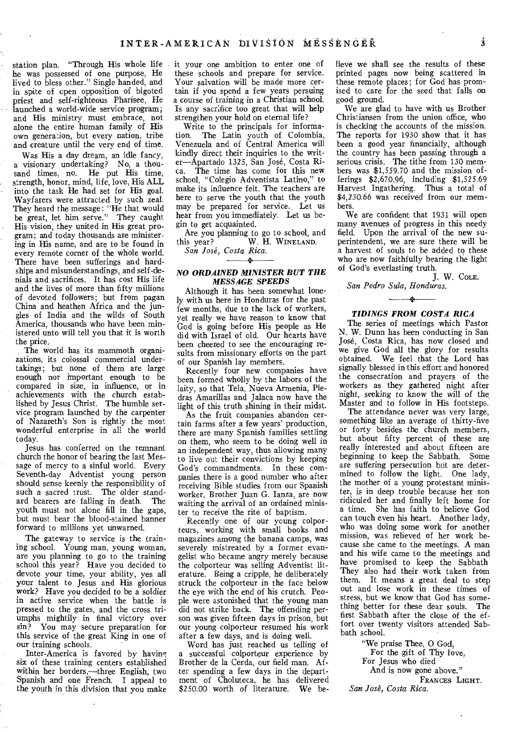station plan. "Through His whole life it your one ambition to enter one of he was possessed of one purpose, He lived to bless other." Single handed, and in spite of open opposition of bigoted priest and self-righteous Pharisee, He launched a world-wide service program; and His ministry must embrace, not alone the entire human family of His own genera:ion, but every nation, tribe and creature until the very end of time.

Was His a day dream, an idle fancy, a visionary undertaking? No, a thousand times, no. He put His time, strength, honor, mind, life, love, His ALL into the task He had set for His goal. Wayfarers were attracted by such zeal. They heard the message: "He that would be great, let him serve." They caught His vision, they united in His great program; and today thousands are ministering in His name, and are to be found in every remote corner of the whole world. There have been sufferings and hardships and misunderstandings, and self-denials and sacrifices. It has cost His life and the lives of more than fifty millions of devoted followers; but from pagan China and heathen Africa and the jungles of India and the wilds of South America, thousands who have been ministered unto will tell you that it is worth the price.

The world has its mammoth organizations, its colossal commercial undertakings; but none of them are large enough nor important enough to be compared in size, in influence, or in achievements with the church established by Jesus Christ. The humble service program launched by the carpenter of Nazareth's Son is rightly the most wonderful enterprise in all the world today.

Jesus has conferred on the remnant church the honor of bearing the last Message of mercy to a sinful world. Every Seventh-day Adventist young person should sense keenly the responsibility of such a sacred trust. The older standard bearers are falling in death. The youth must not alone fill in the gaps, but must bear the blood-stained banner forward to millions yet unwarned.

The gateway to service is the training school. Young man, young woman, are you planning to go to the training school this year? Have you decided to devote your time, your ability, yes all your talent to Jesus and His glorious work? Have you decided to be a soldier in active service when the battle is pressed to the gates, and the cross triumphs mightily in final victory over sin? You may secure preparation for this service of the great King in one of our training schools.

Inter-America is favored by having six of these training centers established within her borders,—three English, two Spanish and one French. I appeal to the youth in this division that you make

these schools and prepare for service. Your salvation will be made more certain if you spend a few years persuing a course of training in a Christian school. Is any sacrifice too great that will help strengthen your hold on eternal life?

Write to the principals for information. The Latin youth of Colombia, Venezuela and of Central America will kindly direct their inquiries to the writer—Apartado 1325, San Jose, Costa Rica. The time has come for this new school, "Colegio Adventista Latino," to make its influence felt. The teachers are here to serve 'the youth that the youth may be prepared for service. Let us hear from you immediately. Let us begin to get acquainted.

Are you planning to go to school, and<br>this year? W. H. WINELAND. W. H. WINELAND.

*San Jose, Costa Rica.*   $\rightarrow$ 

#### *NO ORDAINED MINISTER BUT THE MESSAGE SPEEDS*

Although it has been somewhat lonely with us here in Honduras for the past few months, due to the lack of workers, yet really we have reason to know that God is going before His people as He did with Israel of old. Our hearts have been cheered to see the encouraging results from missionary efforts on the part of our Spanish lay members,

Recently four new companies have been formed wholly by the labors of the laity, so that Tela, Nueva Armenia, Piedras Amarillas and Jalaca now have the light of this truth shining in their midst.

As the fruit companies abandon certain farms after a few years' production, there are many Spanish families settling on them, who seem to be doing well in an independent way, thus allowing many to live out their convictions by keeping God's commandments. In these companies there is a good number who after receiving Bible studies from our Spanish worker, Brother Juan G. Ianza, are now waiting the arrival of an ordained minister to receive the rite of baptism.

Recently one of our young colporteurs, working with small books and magazines among the banana camps, was severely mistreated by a former evangelist who became angry merely because the colporteur was selling Adventist literature. Being a cripple, he deliberately struck the colporteur in the face below the eye with the end of his crutch. People were astonished that the young man did not strike back. The offending person was given fifteen days in prison, but our young colporteur resumed his work after a few days, and is doing well.

Word has just reached us telling of a successful -colporteur experience by Brother de la Cerda, our field man. After spending a few days in the department of Choluteca, he has delivered \$250.00 worth of literature. We believe we shall see the results of these printed pages now being scattered in these remote places; for God has promised to care for the seed that falls on good ground.

We are glad to have with us Brother Christiansen from the union office, who is checking the accounts of the mission. The reports for 1930 show that it has been a good year financially, although the country has been passing through a serious crisis. The tithe from 130 members was \$1,559.70 and the mission offerings \$2,670.96, including \$1,525.69 Harvest Ingathering. Thus a total of \$4,230.66 was received from our members.

We are confident that 1931 will open many avenues of progress in this needy field. Upon the arrival of the new superintendent, we are sure there will be a harvest of souls to be added to these who are now faithfully bearing the light of God's everlasting truth.

J. W. COLE. *San Pedro Sula, Honduras.* 

#### *TIDINGS FROM COSTA RICA*

 $\overline{\phantom{a}}$ 

The series of meetings which Pastor N. W. Dunn has been conducting in San Jose, Costa Rica, has now closed and we give God all the glory for results obtained. We feel that the Lord has signally blessed in this effort and honored the consecration and prayers of the workers as they gathered night after night, seeking to know the will of the Master and to follow in His footsteps.

The attendance never was very large, something like an average of thirty-five or forty besides the church members, but about fifty percent of these are really interested and about fifteen are beginning to keep the Sabbath. Some are suffering persecution but are determined to follow the light. One lady, the mother of a young protestant minister, is in deep trouble because her son ridiculed her and finally left home for a time. She has faith to believe God can touch even his heart. Another lady, who was doing some work for another mission, was relieved of her work because she came to the meetings. A man and his wife came to the meetings and have promised to keep the Sabbath They also had their work taken from them. It means a great deal to step out and lose work in these times of stress, but we know that God has something better for these dear souls. The first Sabbath after the close of the effort over twenty visitors attended Sabbath school.

"We praise Thee, 0 God,

For the gift of Thy love,

For Jesus who died And is now gone above."

FRANCES LIGHT.

*San Jose, Costa Rica.* 

 $\dot{\mathbf{3}}$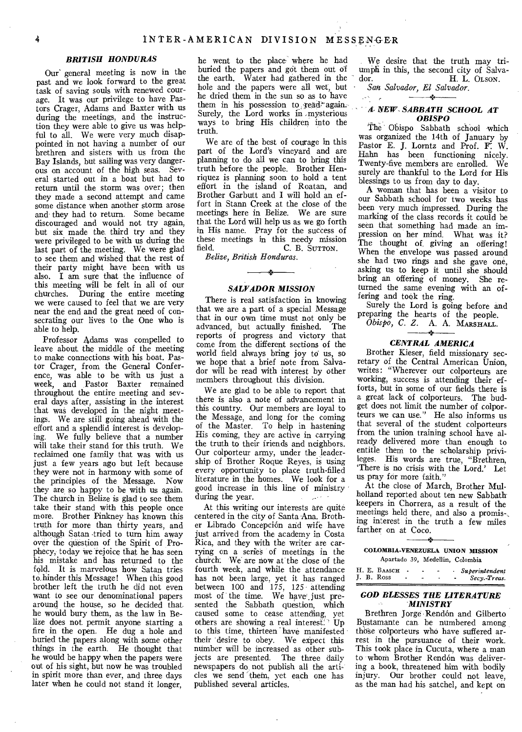#### *BRITISH HONDURAS*

Our' general meeting is now in the past and we look forward to the great task of saving souls with renewed courage. It was our privilege to have Pastors Crager, Adams and Baxter with us during the meetings, and the instruction they were able to give us was helpful to all. We were very much disappointed in not having a number of our brethren and sisters with us from the Bay Islands, but sailing was very dangerous on account of the high seas. Several started out in a boat but had to return until the storm was over; then they made a second attempt and came some distance when another storm arose and they had to return. Some became discouraged and would not try again, but six made the third try and they were privileged to be with us during the last part of the meeting. We were glad to see them and wished that the rest of their party might have been with us also. I am sure that the influence of this meeting will be felt in all of our churches. During the entire meeting we were caused to feel that we are very near the end and the great need of consecrating our lives to the One who is able to help.

Professor Adams was compelled to leave about the middle of the meeting to make connections with his boat. Pastor Crager, from the General Conference, was able to be with us just a week, and Pastor Baxter remained throughout the entire meeting and several days after, assisting in the interest that was developed in the night meetings. We are still going ahead with the effort and a splendid interest is developing. We fully believe that a number will take their stand for this truth. We reclaimed one family that was with us just a few years ago but left because they were not in harmony with some of the principles of the Message. Now they are so happy to be with us again. The church in Belize is glad to see them take their stand with this people once more. Brother Pinkney has known this truth for more than thirty years, and although Satan •tried to turn him away over the question of the Spirit of Prophecy, today we rejoice that he has seen his mistake and has returned to the fold. It is marvelous how Satan tries to. hinder this Message! When this good brother left the truth he did not even want to see our denominational papers around the house, so he decided that he would bury them, as the law in Belize does not permit anyone starting a fire in the open. He dug a hole and buried the papers along with some other things in the earth. He thought that he would be happy when the papers were out of his sight, but now he was troubled in spirit more than ever, and three days later when he could not stand it longer,

he went to the place where he had buried the papers and got them out of the earth. Water had gathered in the hole and the papers were all wet, but he dried them in the sun so as to have them in his possession to read\*again. Surely, the Lord works in -mysterious ways to bring His children into the truth.

We are of the best of courage in this part of the Lord's vineyard and are planning to do all we can to bring this truth before the people. Brother Henriquez is planning soon to hold a tent effort in the island of Roatan, and Brother Garbutt and I will hold an effort in Stann Creek at the close of the meetings here in Belize. We are sure that the Lord will help us as we go forth in His name. Pray for the success of these meetings in this needy mission field. C. B. SUTTON.

*Belize, British Honduras.* 

# Á. *SALVADOR MISSION*

There is real satisfaction in knowing that we are a part of a special Message that in our own time must not only be advanced, but actually finished. The reports of progress and victory that come from the different sections of the world field always bring joy to us, so we hope that a brief note from Salvador will be read with interest by other members throughout this division.

We are glad to be able to report that there is also a note of advancement in this country. Our members are loyal to the Message, and long for the coming of the Master. To help in hastening His coming, they are active in carrying the truth to their friends and neighbors. Our colporteur army, under the leadership of Brother Roque Reyes, is using every opportunity to place truth-filled literature in the homes. We look for a good increase in this line of ministry during the year.

At this writing our interests are quite centered in the city of Santa Ana. Brother Librado Concepci6n and wife have just arrived from the academy in Costa Rica, and they with the writer are carrying on a series of meetings in the church. We are now at the close of the fourth week, and while the attendance has not been large, yet it has ranged between 100 and 175, 125 attending most of the time. We have just presented the Sabbath question, which caused some to cease attending, yet others are showing a real interest. Up to this time, thirteen have manifested their desire to obey. We expect this number will be increased as other subjects are presented. The three daily newspapers do, not publish all the articles we send them, yet each one has published several articles.

We desire that the truth may triumph in this, the second city of Salva-<br>dor.  $\parallel$   $\parallel$   $\perp$   $\parallel$   $\parallel$   $\perp$   $\parallel$   $\parallel$   $\parallel$   $\parallel$ H. L. OLSON.

*San Salvador, El Salvador.* 

 $\sim$ 

 $\sigma^{\rm A} = \sigma^{\rm A}$ 

#### *A. NEW- SABBATH SCHOOL AT OBISPO*

The Obispo Sabbath school which was organized the 14th of January by Pastor E. J. Lorntz and Prof. F. W. Hahn has been functioning nicely. Twenty-five members are enrolled. We surely are thankful to the Lord for His blessings to us from day to day.

A woman that has been a visitor to our Sabbath school for two weeks has been very much impressed. During the marking of the class records it could be seen that something had made an impression on her mind. What was it? The thought of, giving an offering! When the envelope was passed around she had two rings and she gave one, asking us to keep it until she should bring an offering of money. She returned the same evening with an offering and took the ring.

Surely the Lord is going before and preparing the hearts of the people.

*Obispo, C. Z. A. A. MARSHALL.* 

### *CENTRAL AMERICA*

Brother Kieser, field missionary secretary of the Central American Union, writes: "Wherever our colporteurs are working, success is attending their efforts, but in some of our fields there is a great lack of colporteurs. The budget does not limit the number of colporteurs we can use." He also informs us that several of the student colporteurs from the union training school have already delivered more than enough to entitle them to the scholarship privileges. His words are true, "Brethren, `There is no crisis with the Lord.' Let us pray for more faith."

At the close of March, Brother Mulholland reported about ten new Sabbath keepers in Chorrera, as a result of the meetings held there, and also a promis-, ing interest in the truth a few miles farther on at Coco.

#### 44 COLOMBIA-VENEZUELA UNION MISSION Apartado 39, Medellin, Colombia

|            | H. E. BAASCH |  |  | Superintendent |
|------------|--------------|--|--|----------------|
| J. B. Ross |              |  |  | Secy.-Treas.   |
|            |              |  |  |                |

#### *GOD BLESSES THE LITERATURE MINISTRY*

Brethren Jorge Rend6n and Gilberto Bustamante can be numbered among those colporteurs who have suffered arrest in the pursuance of their work. This took place in Cucuta, where a man to whom Brother Rendon was delivering a book, threatened him with bodily injury. Our brother could not leave, as the man had his satchel, and kept on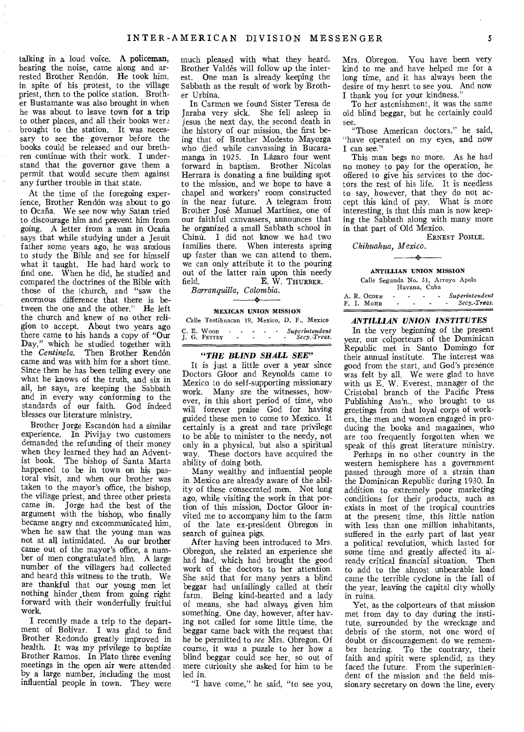talking in a loud voice. A policeman, hearing the noise, came along and arrested Brother Rendón. He took him, in spite of his protest, to the village priest, then to the police station. Brother Bustamante was also brought in when he was about to leave town for a trip to other places, and all their books wer. brought to the station. It was necessary to see the governor before the books could be released and our brethren continue with their work. I understand that the governor gave them a permit that would secure them against any further trouble in that state.

At the time of the foregoing experience, Brother Rendón was about to go to Ocafia. We see now why Satan tried to discourage him and prevent him from going. A letter from a man in Ocafia says that while studying under a Jesuit father some years ago, he was anxious to study the Bible and see for himself what it taught. He had hard work to find one. When he did, he studied and compared the doctrines of the Bible with those of the (church, and "saw the enormous difference that there is between the one and the other." He left the church and knew of no other religion to accept. About two years ago there came to his hands a copy of "Our Day," which he studied together with the *Centinela*. Then Brother Rendón came and was with him for a short time. Since then he has been telling every one what he knows of the truth, and six in all, he says, are keeping the Sabbath and in every way conforming to the standards of our faith. God indeed blesses our literature ministry.

Brother Jorge Escandon had a similar experience. In Pivijay two customers demanded the refunding of their money when they learned they had an Adventist book. The bishop of Santa Marta happened to be in town on his pastoral visit, and when our brother was taken to the mayor's office, the bishop, the village priest, and three other priests came in. Jorge had the best of the argument with the bishop, who finally became angry and excommunicated him, when he saw that the young man was not at all intimidated. As our brother came out of the mayor's office, a number of men congratulated him. A large number of the villagers had collected and heard this witness to the truth. We are thankful that our young men let nothing hinder .them from going right forward with their wonderfully fruitful work.

I recently made a trip to the department of Bolivar. I was glad to find Brother Redondo greatly improved in health. It was my privilege to baptize Brother Ramos. In Plato three evening meetings in the open air were attended by a large number, including the most influential people in town. They were

much pleased with what they heard. Brother Valdes will follow up the interest. One man is already keeping the Sabbath as the result of work by Brother Urbina,

In Carmen we found Sister Teresa de Jaraba very sick. She fell asleep in Jesus the next day, the second death in the history of our mission, the first being that of Brother Modesto Mayorga who died while canvassing in Bucaramanga in 1925. In Lázaro four went forward in baptism. Brother Nicolas Herrara is donating a fine building spot to the mission, and we hope to have a chapel and workers' room constructed in the near future. A telegram from Brother Jose Manuel Martinez, one of our faithful canvassers, announces that he organized a small Sabbath school in China. I did not know we had two families there. When interests spring up faster than we can attend to them, we can only attribute it to the pouring out of the latter rain upon this needy field. E. W. THURBER. E. W. THURBER.

*Barranquilla, Colombia.*   $\overline{\phantom{a}}$ 

#### MEXICAN UNION MISSION

| Calle Teotihuacan 19, Mexico, D. F., Mexico |                        |                |  |                                      |
|---------------------------------------------|------------------------|----------------|--|--------------------------------------|
| C. E. Woop<br>I. G. PETTEY                  | <b>Service Control</b> | $\overline{ }$ |  | - - Superintendent<br>- Secy.-Treas. |

#### *"THE BLIND SHALL SEE"*

It is just a little over a year since Doctors Gloor and Reynolds came to Mexico to do self-supporting missionary work. Many are the witnesses, however, in this short period of time, who will forever praise God for having guided these men to come to Mexico. It certainly is a great and rare privilege to be able to minister to the needy, not only in a physical, but also a spiritual way. These doctors have acquired the ability of doing both.

Many wealthy and influential people in Mexico are already aware of the ability of these consecrated men. Not long ago, while visiting the work in that portion of this mission, Doctor Gloor invited me to accompany him to the farm of the late ex-president Obregon in search of guinea pigs.

After having been introduced to Mrs. Obregon, she related an experience she had had, which had brought the good work of the doctors to her attention. She said that for many years a blind beggar had unfailingly called at their farm. Being kind-hearted and a lady of means, she had always given him something. One day, however, after having not called for some little time, the beggar came back with the request that he be permitted to *see* Mrs. Obregon. Of course, it was a puzzle to her how a blind beggar could see her, so out of mere curiosity she asked for him to be led in.

"I have come," he said, "to see you,

Mrs. Obregon. You have been very kind to me and have helped me for a long time, and it has always been the desire of my heart to see you. And now I thank you for your kindness."

To her astonishment, it was the same old blind beggar, but he certainly could see.

"Those American doctors," he said, "have operated on my eyes, and now I can see."

This man begs no more. As he had no money to pay for the operation, he offered to give his services to the doctors the rest of his life. It is needless to say, however, that they do not accept this kind of pay. What is more interesting, is that this man is now keeping the Sabbath along with many more in that part of Old Mexico.

ERNEST POHLE.

*Chihuahua, Mexico.* 

#### ANTILLIAN UNION MISSION

 $\overline{\phantom{a}}$ 

Calle Segunda No. 31, Arroyo Apolo Havana, Cuba

A. R. OGDEN - - - - *Superintendent*  F. I. MOHR - *Secy.-Treas.* 

#### *ANTILLIAN UNION INSTITUTES*

In the very beginning of the present year, our colporteurs of the Dominican Republic met in Santo Domingo for their annual institute. The interest was good from the start, and God's presence was felt by all. We were glad to have with us E. W. Everest, manager of the Cristobal branch of the Pacific Press Publishing Ass'n., who brought to us greetings from that loyal corps of workers, the men and women engaged in producing the books and magazines, who are too frequently forgotten when we speak of this great literature ministry.

Perhaps in no other country in the western hemisphere has a government passed through more of a strain than the Dominican Republic during 1930. In addition to extremely poor marketing conditions for their products, such as exists in most of the tropical countries at the present time, this little nation with less than one million inhabitants, suffered in the early part of last year a political revolution, which lasted for some time and greatly affected its already critical financial situation. Then to add to the almost unbearable load came the terrible cyclone in the fall of the year, leaving the capital city wholly in ruins.

Yet, as the colporteurs of that mission met from day to day during the institute, surrounded by the wreckage and debris of the storm, not one word of doubt or discouragement do we remem-<br>ber hearing. To the contrary, their To the contrary, their faith and spirit were splendid, as they faced the future. From the superintendent of the mission and the field missionary secretary on down the line, every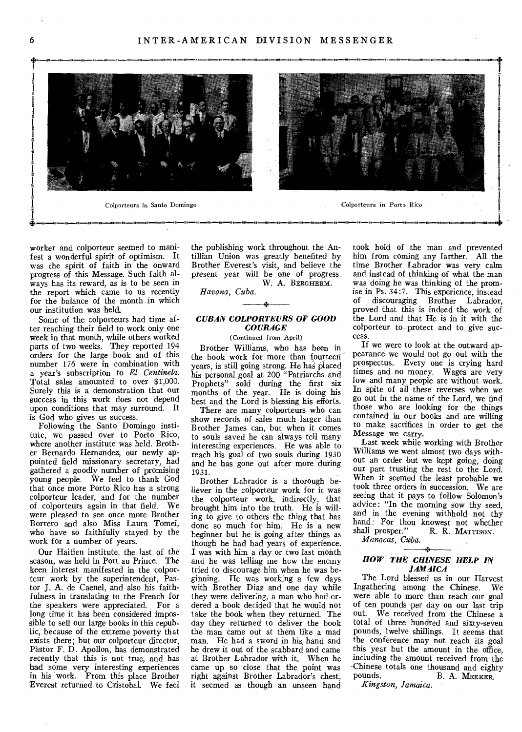



worker and colporteur seemed to manifest a wonderful spirit of optimism. It was the spirit of faith in the onward progress of this Message. Such faith always has its reward, as is to be seen in the report which came to us recently for the balance of the month in which our institution was held.

Some of the colporteurs had time after reaching their field to work only one week in that month, while others worked parts of two weeks. They reported 194 orders for the large book and of this number 176 were in combination with a year's subscription to *El Centinela.*  Total sales amounted to over \$1',000. Surely this is a demonstration that our success in this work does not depend upon conditions that may surround. It is God who gives us success.

Following the Santo Domingo institute, we passed over to Porto Rico, where another institute was held. Brother Bernardo Hernandez, our newly appointed field missionary secretary, had gathered a goodly number of promising young people. We feel to thank God that once more Porto Rico has a strong colporteur leader, and for the number of colporteurs again in that field. We were pleased to see once more Brother Borrero and also Miss Laura Tomei, who have so faithfully stayed by the work for a number of years.

Our Haitien institute, the last of the season, was held in Port au Prince. The keen interest manifested in the colporteur work by the superintendent, Pastor J. A. de Caenel, and also his faithfulness in translating to the French for the speakers were appreciated. For a long time it has been considered impossible to sell our large books in this republic, because of the extreme poverty that exists there; but our colporteur director, Pastor F. D. Apollon, has demonstrated recently that this is not true, and has had some very interesting experiences in his work. From this place Brother Everest returned to Cristobal. We feel

the publishing work throughout the Antillian Union was greatly benefited by Brother Everest's visit, and believe the present year will be one of progress. W. A. BERGHERM.

*Havana, Cuba.* 

#### *CUBAN COLPORTEURS OF GOOD COURAGE*

ik.

(Continued from April)

Brother Williams, who has been in the book work for more than fourteen years, is still going strong. He has placed his personal goal at 200 "Patriarchs and Prophets" sold during the first six months of the year. He is doing his best and the Lord is blessing his efforts.

There are many colporteurs who can show records of sales much larger than Brother James can, but when it comes to souls saved he can always tell many interesting experiences. He was able to reach his goal of two souls during 1930 and he has gone out after more during 1931.

Brother Labrador is a thorough believer in the colporteur work for it was the colporteur work, indirectly, that brought him into the truth. He is willing to give to others the thing that has done so much for him. He is a new beginner but he is going after things as though he had had years of experience. I was with him a day or two last month and he was telling me how the enemy tried to discourage him when he was beginning. He was working a few days with Brother Diaz and one day while they were deliver:ng, a man who had ordered a book decided that he would not take the book when they returned. The day they returned to deliver the book the man came out at them like a mad man. He had a sword in his hand and he drew it out of the scabbard and came at Brother Labrador with it. When he came up so close that the point was right against Brother Labrador's chest, it seemed as though an unseen hand

took hold of the man and prevented him from coming any farther. All the time Brother Labrador was very calm and instead of thinking of what the man was doing he was thinking of the promise in Ps. 34:7. This experience, instead of discouraging Brother Labrador, proved that this is indeed the work of the Lord and that He is in it with the colporteur to--protect and to give success.

If we were to look at the outward appearance we would not go out with the prospectus. Every one is crying hard times and no money. Wages are very low and many people are without work. In spite of all these reverses when we go out in the name of the Lord, we find those who are looking for the things contained in our books and are willing to make, sacrifices in order to get the Message we carry.

Last week while working with Brother Williams we went almost two days without an order but we kept going, doing our part trusting the rest to the Lord. When it seemed the least probable we took three orders in succession. We are seeing that it pays to follow Solomon's advice: "In the morning sow thy seed, and in the evening withhold not thy hand: For thou knowest not whether<br>shall prosper." R. R. MATTISON. R. R. MATTISON.

*Manacas, Cuba.* 

#### *HOW THE CHINESE HELP IN JAMAICA*

The Lord blessed us in our Harvest Ingathering among the Chinese. We were able to more than reach our goal of ten pounds per day on our last trip out. We received from the Chinese a total of three hundred and sixty-seven pounds, twelve shillings. It seems that the conference may not reach its goal this year but the amount in the office, including the amount received from the Chinese totals one thousand and eighty<br>pounds. B. A. MEEKER B. A. MEEKER.

*Kingston, Jamaica.*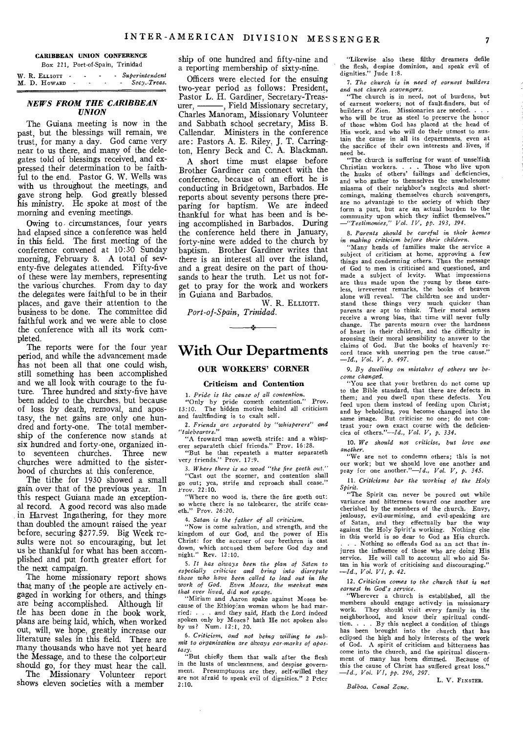#### **CARIBBEAN UNION CONFERENCE**  Box 221, Port-of-Spain, Trinidad

|  | W. R. ELLIOTT . |  |  | - Superintendent |
|--|-----------------|--|--|------------------|
|  | M. D. HOWARD    |  |  | Secy.-Treas.     |

#### *NEWS FROM THE CARIBBEAN UNION*

The Guiana meeting is now in the past, but the blessings will remain, we trust, for many a day. God came very near to us there, and many of the delegates told of blessings received, and expressed their determination to be faithful to the end. Pastor G. W. Wells was with us throughout the meetings, and gave strong help. God greatly blessed his ministry. He spoke at most of the morning and evening meetings.

Owing to. circumstances, four years had elapsed since a conference was held in this field. The first meeting of the conference convened at 10:30 Sunday morning, February 8. A total of seventy-five delegates attended. Fifty-five of these were lay members, representing the various churches. From day to day the delegates were faithful to be in their places, and gave their attention to the business to be done. The committee did faithful work and we were able to close the conference with all its work completed.

The reports were for the four year period, and while the advancement made has not been all that one could wish, still something has been accomplished and we all look with courage to the future. Three hundred and sixty-five have been added to the churches, but because of loss by death, removal, and apostasy, the net gains are\_ only one hundred and forty-one. The total membership of the conference now stands at six hundred and forty-one, organized into seventeen churches. Three new churches were admitted to the sisterhood of churches at this conference.

The tithe for 1930 showed a small gain over that of the previous year. In this respect Guiana made an exceptional record. A good record was also made in Harvest Ingathering, for they more than doubled the amount raised the year before, securing \$277.59. Big Week results were not so encouraging, but let us be thankful for what has been accomplished and put forth greater effort for the next campaign.

The home missionary report shows that many of the people are actively engaged in working for others, and things are being accomplished. Although lit tie has been done in the book work, plans are being laid, which, when worked out, will, we hope, greatly increase our literature sales in this field. There are many thousands who have not yet heard the Message, and to these the colporteur should go, for they must hear the call.

The Missionary Volunteer report shows eleven societies with a member

ship of one hundred and fifty-nine and a reporting membership of sixty-nine.

Officers were elected for the ensuing two-year period as follows: President, Pastor L. H. Gardiner, Secretary-Treasurer, - Field Missionary secretary, Charles Manoram, Missionary Volunteer and Sabbath school secretary, Miss B. Callendar. Ministers in the conference are: Pastors A. E. Riley, J. T. Carrington, Henry Beck and C. A. Blackman.

A short time must elapse before Brother Gardiner can connect with the conference, because of an effort he is conducting in Bridgetown, Barbados. He reports about seventy persons there preparing for baptism. We are indeed thankful for what has been and is being accomplished in Barbados. During the conference held there in January, forty-nine were added to the church by baptism. Brother Gardiner writes that there is an interest all over the island, and a great desire on the part of thousands to hear the truth. Let us not forget to pray for the work and workers in Guiana and Barbados.

W. R. ELLIOTT. *Port-of-Spain., Trinidad.* 

# **With Our Departments**

#### **OUR WORKERS' CORNER**

#### **Criticism and Contention**

*1. Pride is the cause of all contention.*  "Only by pride cometh contention." Prov. 13:10. The hidden motive behind all *criticism*  and faultfinding is to exalt self.

*2. Friends are separated by "whisperers" and "talebearers."* 

"A froward man soweth strife: and a whisp-erer separateth chief friends." Prov. 16:28. "But he that repeateth a matter separateth

very friends." Prov. 17:9.

3. Where there is no wood "the fire goeth out." "Cast out the scorner, and contention shall go out; yea, strife and reproach shall cease.' Prov. 22:10.

"Where no wood is, there the fire goeth out: so where there is no talebearer, the strife ceaseth." Prov. 26:20.

*4. Satan is the father of all criticism.* 

"Now is come salvation, and strength, and the kingdom of our God, and the power of His Christ: for the accuser of our brethren is cast down, which accused them before God day and night." Rev. 12:10.

*5. It has always been the plan of Satan to especially criticise and bring into disrepute those who have been called to lead out in the work of God. Even Moses, the meekest man that ever lived, did not escape.* 

"Miriam and Aaron spake against Moses because of the Ethiopian woman whom he had married: . . . and they said, Hath the Lord indeed spoken only by Moses? hath He not spoken also by us? Num. 12:1, 20.

*6. Criticism, and not being willing to submit to organisation are always ear-marks of apostasy.* 

"But chiefly them that walk after the flesh in the lusts of uncleanness, and despise government. Presumptuous are they, self-willed they are not afraid to speak evil of dignities." 2 Peter 2:10.

"Likewise also these filthy dreamers defile the flesh, despise dominion, and speak evil of dignities." Jude 1:8.

*7. The church is in need of earnest builders and not church scavengers.* 

"The church is in need, not of burdens, but of earnest workers; not of fault-finders, but of builders of Zion. Missionaries are needed. . who will be true as steel to preserve the honor of those whom God has placed at the head of His work, and who will do their utmost to sustain the cause in all its departments, even at the sacrifice of their own interests and lives, if

need be. "The church is suffering for want of unselfish Christian workers. . . . Those who live upon the husks of others' failings and deficiencies, and who gather to themselves the unwholesome miasma of their neighbor's neglects and shortcomings, making themselves church scavengers, are no advantage to the society of which they form a part, but are an actual burden to the community upon which they inflict themselves."<br> *-"Testimonies," Vol. IV, pp. 193, 194.* 

*8. Parents should be careful in their homes in making criticism before their children.* 

"Many heads of families make the service a subject of criticism at home, approving a few things and condemning others. Thus the message of God to men is criticised and questioned, and made a subject of levity. What impressions are thus made upon the young by these care-less, irreverent remarks, the books of heaven alone will reveal. The children see and understand these things very much quicker than parents are apt to think. Their moral senses receive a wrong bias, that time will never fully change. The parents mourn over the hardness of heart in their children, and the difficulty in arousing their moral sensibility to answer to the claims of God. But the books of heavenly record trace with unerring pen the true cause." *—Id., Vol. V, p.* 497.

*9. By dwelling on mistakes of others we become changed.* 

"You see that your brethren do not come up to the Bible standard, that there are defects in them; and you dwell upon these defects. feed upon them instead of feeding upon Christ; and by beholding, you become changed into the same image. But criticise no one; do not contrast your own exact course with the deficiencies of others."—Id., *Vol. V, p. 334.* 

10. We *should not criticise, but love one another.* 

"We are not to condemn others; this is not our work; but we should love one another and pray for one another."—Id.,  $Vol. V, p. 345.$ 

*11. Criticisms bar the working of the Holy* 

*Spirit.*  "The Spirit can never be poured out while variance and bitterness toward one another are cherished by the members of the church. Envy, jealousy, evil-surmising, and evil-speaking are of Satan, and they effectually bar the way against the Holy Spirit's working. Nothing else in this world is so dear to God as His church. . . Nothing so offends God as an act that *in*jures the influence of those who are doing His service. He will call to account all who aid Satan in his work of criticising and discouraging." *—Id., Vol. VI, p. 42.* 

*12. Criticism comes to the church that is not earnest in God's service.* 

"Wherever a church is established, all the members should engage actively in missionary work. They should visit every family in the neighborhood, and know their spiritual condi-tion. . . By this neglect a condition of things has been brought into the church that has eclipsed the high and holy interests of the work of God. A spirit of criticism and bitterness has come into the church, and the spiritual discernment of many has been dimmed. Because of this the cause of Christ has suffered great loss." *—Id., Vol. VI, pp. 296, 297.* 

L. V. FINSTER.

*Balboa. Canal Zone.*